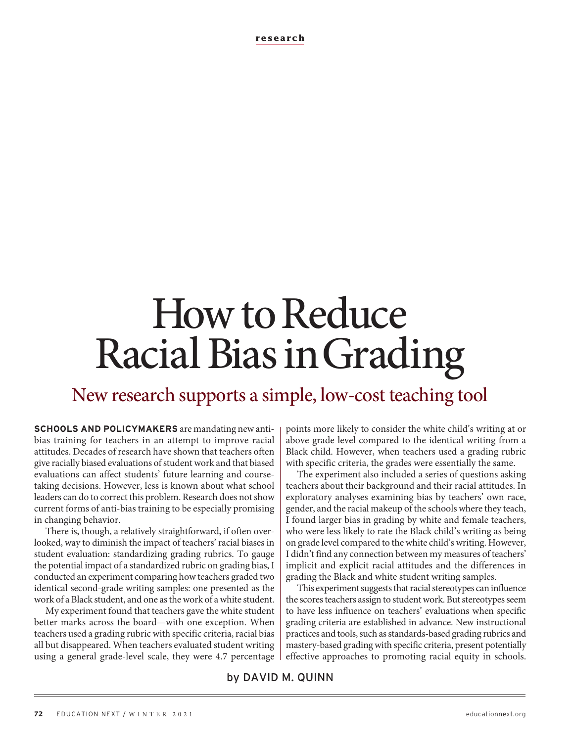# How to Reduce Racial Bias in Grading

New research supports a simple, low-cost teaching tool

**SCHOOLS AND POLICYMAKERS** are mandating new antibias training for teachers in an attempt to improve racial attitudes. Decades of research have shown that teachers often give racially biased evaluations of student work and that biased evaluations can affect students' future learning and coursetaking decisions. However, less is known about what school leaders can do to correct this problem. Research does not show current forms of anti-bias training to be especially promising in changing behavior.

There is, though, a relatively straightforward, if often overlooked, way to diminish the impact of teachers' racial biases in student evaluation: standardizing grading rubrics. To gauge the potential impact of a standardized rubric on grading bias, I conducted an experiment comparing how teachers graded two identical second-grade writing samples: one presented as the work of a Black student, and one as the work of a white student.

My experiment found that teachers gave the white student better marks across the board—with one exception. When teachers used a grading rubric with specific criteria, racial bias all but disappeared. When teachers evaluated student writing using a general grade-level scale, they were 4.7 percentage points more likely to consider the white child's writing at or above grade level compared to the identical writing from a Black child. However, when teachers used a grading rubric with specific criteria, the grades were essentially the same.

The experiment also included a series of questions asking teachers about their background and their racial attitudes. In exploratory analyses examining bias by teachers' own race, gender, and the racial makeup of the schools where they teach, I found larger bias in grading by white and female teachers, who were less likely to rate the Black child's writing as being on grade level compared to the white child's writing. However, I didn't find any connection between my measures of teachers' implicit and explicit racial attitudes and the differences in grading the Black and white student writing samples.

This experiment suggests that racial stereotypes can influence the scores teachers assign to student work. But stereotypes seem to have less influence on teachers' evaluations when specific grading criteria are established in advance. New instructional practices and tools, such as standards-based grading rubrics and mastery-based grading with specific criteria, present potentially effective approaches to promoting racial equity in schools.

by DAVID M. QUINN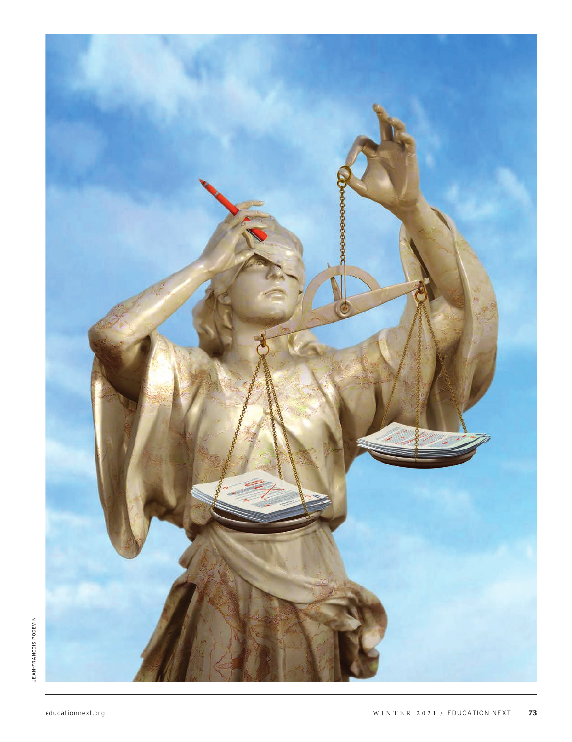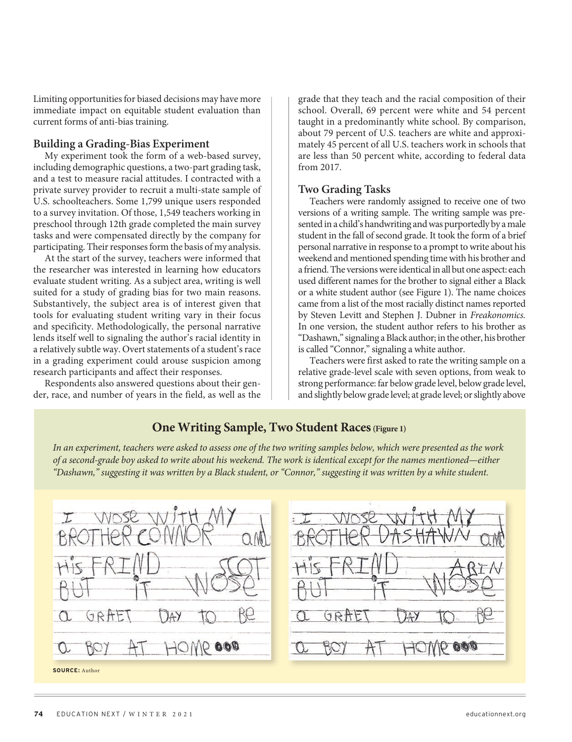Limiting opportunities for biased decisions may have more immediate impact on equitable student evaluation than current forms of anti-bias training.

#### **Building a Grading-Bias Experiment**

My experiment took the form of a web-based survey, including demographic questions, a two-part grading task, and a test to measure racial attitudes. I contracted with a private survey provider to recruit a multi-state sample of U.S. schoolteachers. Some 1,799 unique users responded to a survey invitation. Of those, 1,549 teachers working in preschool through 12th grade completed the main survey tasks and were compensated directly by the company for participating. Their responses form the basis of my analysis.

At the start of the survey, teachers were informed that the researcher was interested in learning how educators evaluate student writing. As a subject area, writing is well suited for a study of grading bias for two main reasons. Substantively, the subject area is of interest given that tools for evaluating student writing vary in their focus and specificity. Methodologically, the personal narrative lends itself well to signaling the author's racial identity in a relatively subtle way. Overt statements of a student's race in a grading experiment could arouse suspicion among research participants and affect their responses.

Respondents also answered questions about their gender, race, and number of years in the field, as well as the grade that they teach and the racial composition of their school. Overall, 69 percent were white and 54 percent taught in a predominantly white school. By comparison, about 79 percent of U.S. teachers are white and approximately 45 percent of all U.S. teachers work in schools that are less than 50 percent white, according to federal data from 2017.

### **Two Grading Tasks**

Teachers were randomly assigned to receive one of two versions of a writing sample. The writing sample was presented in a child's handwriting and was purportedly by a male student in the fall of second grade. It took the form of a brief personal narrative in response to a prompt to write about his weekend and mentioned spending time with his brother and a friend. The versions were identical in all but one aspect: each used different names for the brother to signal either a Black or a white student author (see Figure 1). The name choices came from a list of the most racially distinct names reported by Steven Levitt and Stephen J. Dubner in *Freakonomics.* In one version, the student author refers to his brother as "Dashawn," signaling a Black author; in the other, his brother is called "Connor," signaling a white author.

Teachers were first asked to rate the writing sample on a relative grade-level scale with seven options, from weak to strong performance: far below grade level, below grade level, and slightly below grade level; at grade level; or slightly above

# **One Writing Sample, Two Student Races (Figure 1)**

*In an experiment, teachers were asked to assess one of the two writing samples below, which were presented as the work of a second-grade boy asked to write about his weekend. The work is identical except for the names mentioned—either "Dashawn," suggesting it was written by a Black student, or "Connor," suggesting it was written by a white student.*

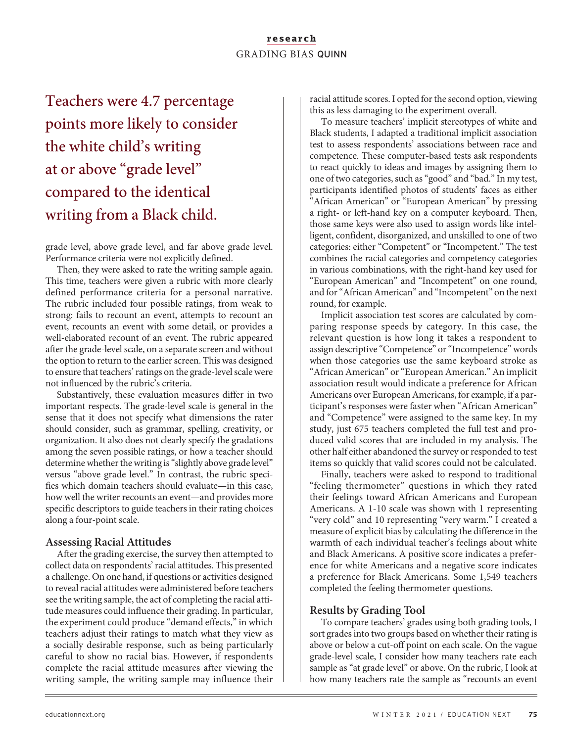## **research** GRADING BIAS QUINN

Teachers were 4.7 percentage points more likely to consider the white child's writing at or above "grade level" compared to the identical writing from a Black child.

grade level, above grade level, and far above grade level. Performance criteria were not explicitly defined.

Then, they were asked to rate the writing sample again. This time, teachers were given a rubric with more clearly defined performance criteria for a personal narrative. The rubric included four possible ratings, from weak to strong: fails to recount an event, attempts to recount an event, recounts an event with some detail, or provides a well-elaborated recount of an event. The rubric appeared after the grade-level scale, on a separate screen and without the option to return to the earlier screen. This was designed to ensure that teachers' ratings on the grade-level scale were not influenced by the rubric's criteria.

Substantively, these evaluation measures differ in two important respects. The grade-level scale is general in the sense that it does not specify what dimensions the rater should consider, such as grammar, spelling, creativity, or organization. It also does not clearly specify the gradations among the seven possible ratings, or how a teacher should determine whether the writing is "slightly above grade level" versus "above grade level." In contrast, the rubric specifies which domain teachers should evaluate—in this case, how well the writer recounts an event—and provides more specific descriptors to guide teachers in their rating choices along a four-point scale.

### **Assessing Racial Attitudes**

After the grading exercise, the survey then attempted to collect data on respondents' racial attitudes. This presented a challenge. On one hand, if questions or activities designed to reveal racial attitudes were administered before teachers see the writing sample, the act of completing the racial attitude measures could influence their grading. In particular, the experiment could produce "demand effects," in which teachers adjust their ratings to match what they view as a socially desirable response, such as being particularly careful to show no racial bias. However, if respondents complete the racial attitude measures after viewing the writing sample, the writing sample may influence their

racial attitude scores. I opted for the second option, viewing this as less damaging to the experiment overall.

To measure teachers' implicit stereotypes of white and Black students, I adapted a traditional implicit association test to assess respondents' associations between race and competence. These computer-based tests ask respondents to react quickly to ideas and images by assigning them to one of two categories, such as "good" and "bad." In my test, participants identified photos of students' faces as either "African American" or "European American" by pressing a right- or left-hand key on a computer keyboard. Then, those same keys were also used to assign words like intelligent, confident, disorganized, and unskilled to one of two categories: either "Competent" or "Incompetent." The test combines the racial categories and competency categories in various combinations, with the right-hand key used for "European American" and "Incompetent" on one round, and for "African American" and "Incompetent" on the next round, for example.

Implicit association test scores are calculated by comparing response speeds by category. In this case, the relevant question is how long it takes a respondent to assign descriptive "Competence" or "Incompetence" words when those categories use the same keyboard stroke as "African American" or "European American." An implicit association result would indicate a preference for African Americans over European Americans, for example, if a participant's responses were faster when "African American" and "Competence" were assigned to the same key. In my study, just 675 teachers completed the full test and produced valid scores that are included in my analysis. The other half either abandoned the survey or responded to test items so quickly that valid scores could not be calculated.

Finally, teachers were asked to respond to traditional "feeling thermometer" questions in which they rated their feelings toward African Americans and European Americans. A 1-10 scale was shown with 1 representing "very cold" and 10 representing "very warm." I created a measure of explicit bias by calculating the difference in the warmth of each individual teacher's feelings about white and Black Americans. A positive score indicates a preference for white Americans and a negative score indicates a preference for Black Americans. Some 1,549 teachers completed the feeling thermometer questions.

# **Results by Grading Tool**

To compare teachers' grades using both grading tools, I sort grades into two groups based on whether their rating is above or below a cut-off point on each scale. On the vague grade-level scale, I consider how many teachers rate each sample as "at grade level" or above. On the rubric, I look at how many teachers rate the sample as "recounts an event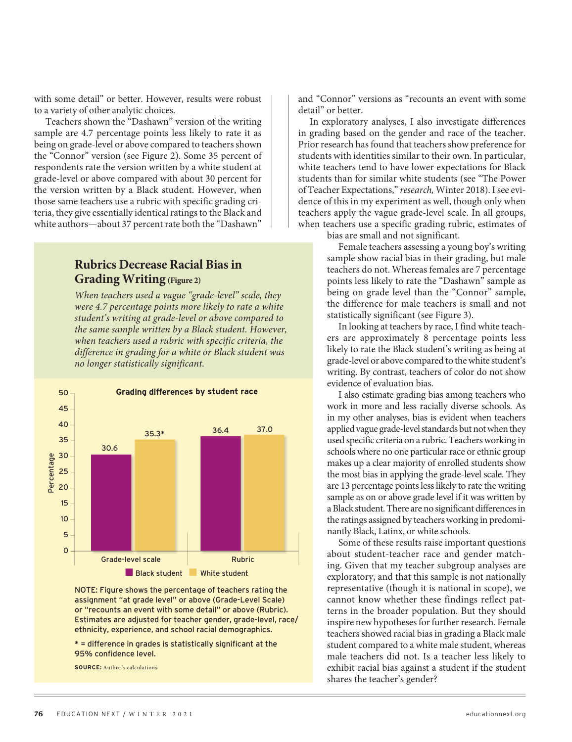with some detail" or better. However, results were robust to a variety of other analytic choices.

Teachers shown the "Dashawn" version of the writing sample are 4.7 percentage points less likely to rate it as being on grade-level or above compared to teachers shown the "Connor" version (see Figure 2). Some 35 percent of respondents rate the version written by a white student at grade-level or above compared with about 30 percent for the version written by a Black student. However, when those same teachers use a rubric with specific grading criteria, they give essentially identical ratings to the Black and white authors—about 37 percent rate both the "Dashawn"

# **Rubrics Decrease Racial Bias in Grading Writing (Figure 2)**

*When teachers used a vague "grade-level" scale, they were 4.7 percentage points more likely to rate a white student's writing at grade-level or above compared to the same sample written by a Black student. However, when teachers used a rubric with specific criteria, the difference in grading for a white or Black student was no longer statistically significant.*



NOTE: Figure shows the percentage of teachers rating the assignment "at grade level" or above (Grade-Level Scale) or "recounts an event with some detail" or above (Rubric). Estimates are adjusted for teacher gender, grade-level, race/ ethnicity, experience, and school racial demographics.

\* = difference in grades is statistically significant at the 95% confidence level.

**SOURCE:** Author's calculations

and "Connor" versions as "recounts an event with some detail" or better.

In exploratory analyses, I also investigate differences in grading based on the gender and race of the teacher. Prior research has found that teachers show preference for students with identities similar to their own. In particular, white teachers tend to have lower expectations for Black students than for similar white students (see "The Power of Teacher Expectations," *research,* Winter 2018). I see evidence of this in my experiment as well, though only when teachers apply the vague grade-level scale. In all groups, when teachers use a specific grading rubric, estimates of bias are small and not significant.

Female teachers assessing a young boy's writing

sample show racial bias in their grading, but male teachers do not. Whereas females are 7 percentage points less likely to rate the "Dashawn" sample as being on grade level than the "Connor" sample, the difference for male teachers is small and not statistically significant (see Figure 3).

In looking at teachers by race, I find white teachers are approximately 8 percentage points less likely to rate the Black student's writing as being at grade-level or above compared to the white student's writing. By contrast, teachers of color do not show evidence of evaluation bias.

I also estimate grading bias among teachers who work in more and less racially diverse schools. As in my other analyses, bias is evident when teachers applied vague grade-level standards but not when they used specific criteria on a rubric. Teachers working in schools where no one particular race or ethnic group makes up a clear majority of enrolled students show the most bias in applying the grade-level scale. They are 13 percentage points less likely to rate the writing sample as on or above grade level if it was written by a Black student. There are no significant differences in the ratings assigned by teachers working in predominantly Black, Latinx, or white schools.

Some of these results raise important questions about student-teacher race and gender matching. Given that my teacher subgroup analyses are exploratory, and that this sample is not nationally representative (though it is national in scope), we cannot know whether these findings reflect patterns in the broader population. But they should inspire new hypotheses for further research. Female teachers showed racial bias in grading a Black male student compared to a white male student, whereas male teachers did not. Is a teacher less likely to exhibit racial bias against a student if the student shares the teacher's gender?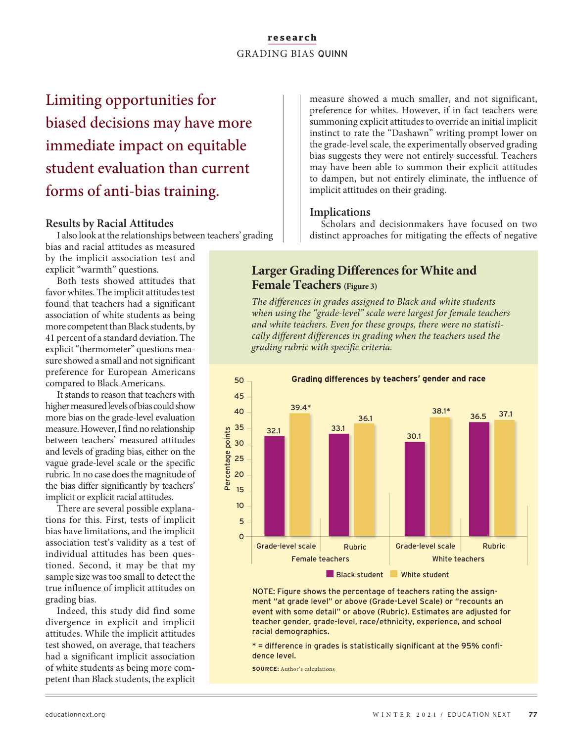## **research** GRADING BIAS QUINN

Limiting opportunities for biased decisions may have more immediate impact on equitable student evaluation than current forms of anti-bias training.

## **Results by Racial Attitudes**

I also look at the relationships between teachers' grading

bias and racial attitudes as measured by the implicit association test and explicit "warmth" questions.

Both tests showed attitudes that favor whites. The implicit attitudes test found that teachers had a significant association of white students as being more competent than Black students, by 41 percent of a standard deviation. The explicit "thermometer" questions measure showed a small and not significant preference for European Americans compared to Black Americans.

It stands to reason that teachers with higher measured levels of bias could show more bias on the grade-level evaluation measure. However, I find no relationship between teachers' measured attitudes and levels of grading bias, either on the vague grade-level scale or the specific rubric. In no case does the magnitude of the bias differ significantly by teachers' implicit or explicit racial attitudes.

There are several possible explanations for this. First, tests of implicit bias have limitations, and the implicit association test's validity as a test of individual attitudes has been questioned. Second, it may be that my sample size was too small to detect the true influence of implicit attitudes on grading bias.

Indeed, this study did find some divergence in explicit and implicit attitudes. While the implicit attitudes test showed, on average, that teachers had a significant implicit association of white students as being more competent than Black students, the explicit measure showed a much smaller, and not significant, preference for whites. However, if in fact teachers were summoning explicit attitudes to override an initial implicit instinct to rate the "Dashawn" writing prompt lower on the grade-level scale, the experimentally observed grading bias suggests they were not entirely successful. Teachers may have been able to summon their explicit attitudes to dampen, but not entirely eliminate, the influence of implicit attitudes on their grading.

# **Implications**

Scholars and decisionmakers have focused on two distinct approaches for mitigating the effects of negative

# **Larger Grading Differences for White and Female Teachers (Figure 3)**

*The differences in grades assigned to Black and white students when using the "grade-level" scale were largest for female teachers and white teachers. Even for these groups, there were no statistically different differences in grading when the teachers used the grading rubric with specific criteria.*



NOTE: Figure shows the percentage of teachers rating the assignment "at grade level" or above (Grade-Level Scale) or "recounts an event with some detail" or above (Rubric). Estimates are adjusted for teacher gender, grade-level, race/ethnicity, experience, and school racial demographics.

\* = difference in grades is statistically significant at the 95% confidence level.

**SOURCE:** Author's calculations